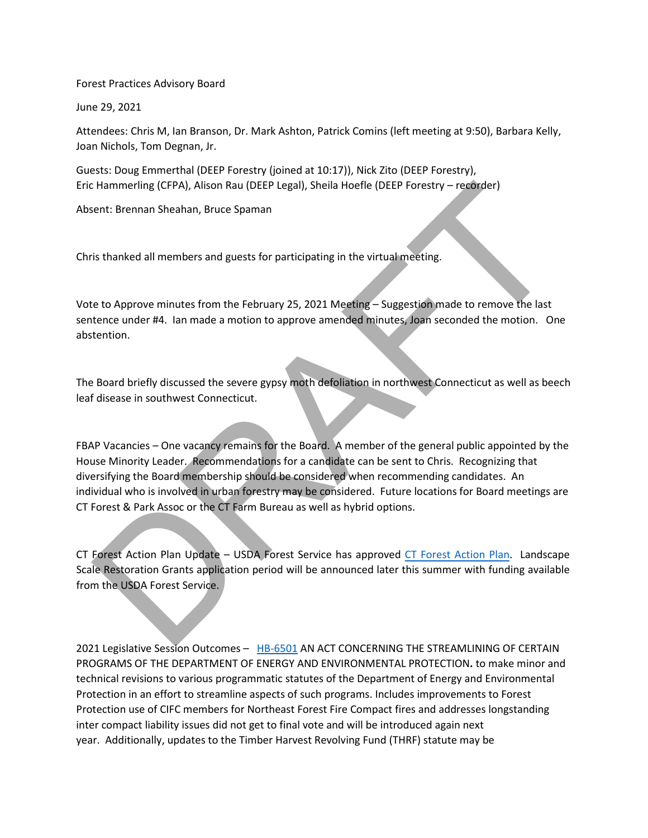Forest Practices Advisory Board

June 29, 2021

Attendees: Chris M, Ian Branson, Dr. Mark Ashton, Patrick Comins (left meeting at 9:50), Barbara Kelly, Joan Nichols, Tom Degnan, Jr.

Guests: Doug Emmerthal (DEEP Forestry (joined at 10:17)), Nick Zito (DEEP Forestry), Eric Hammerling (CFPA), Alison Rau (DEEP Legal), Sheila Hoefle (DEEP Forestry – recorder)

Absent: Brennan Sheahan, Bruce Spaman

Chris thanked all members and guests for participating in the virtual meeting.

Vote to Approve minutes from the February 25, 2021 Meeting – Suggestion made to remove the last sentence under #4. Ian made a motion to approve amended minutes, Joan seconded the motion. One abstention.

The Board briefly discussed the severe gypsy moth defoliation in northwest Connecticut as well as beech leaf disease in southwest Connecticut.

FBAP Vacancies – One vacancy remains for the Board. A member of the general public appointed by the House Minority Leader. Recommendations for a candidate can be sent to Chris. Recognizing that diversifying the Board membership should be considered when recommending candidates. An individual who is involved in urban forestry may be considered. Future locations for Board meetings are CT Forest & Park Assoc or the CT Farm Bureau as well as hybrid options. External members and putch and the spanning (DEP Legal), Shella Hoefle (DEEP Forestry – recorder)<br>
Hent: Bremnan Sheahan, Bruce Spaman<br>
This thanked all members and guests for participating in the virtual meeting.<br>
This th

CT Forest Action Plan Update – USDA Forest Service has approved CT Forest Action Plan. Landscape Scale Restoration Grants application period will be announced later this summer with funding available from the USDA Forest Service.

2021 Legislative Session Outcomes - [HB-6501](https://www.cga.ct.gov/asp/cgabillstatus/cgabillstatus.asp?selBillType=Bill&bill_num=HB06501&which_year=2021) AN ACT CONCERNING THE STREAMLINING OF CERTAIN PROGRAMS OF THE DEPARTMENT OF ENERGY AND ENVIRONMENTAL PROTECTION**.** to make minor and technical revisions to various programmatic statutes of the Department of Energy and Environmental Protection in an effort to streamline aspects of such programs. Includes improvements to Forest Protection use of CIFC members for Northeast Forest Fire Compact fires and addresses longstanding inter compact liability issues did not get to final vote and will be introduced again next year.  Additionally, updates to the Timber Harvest Revolving Fund (THRF) statute may be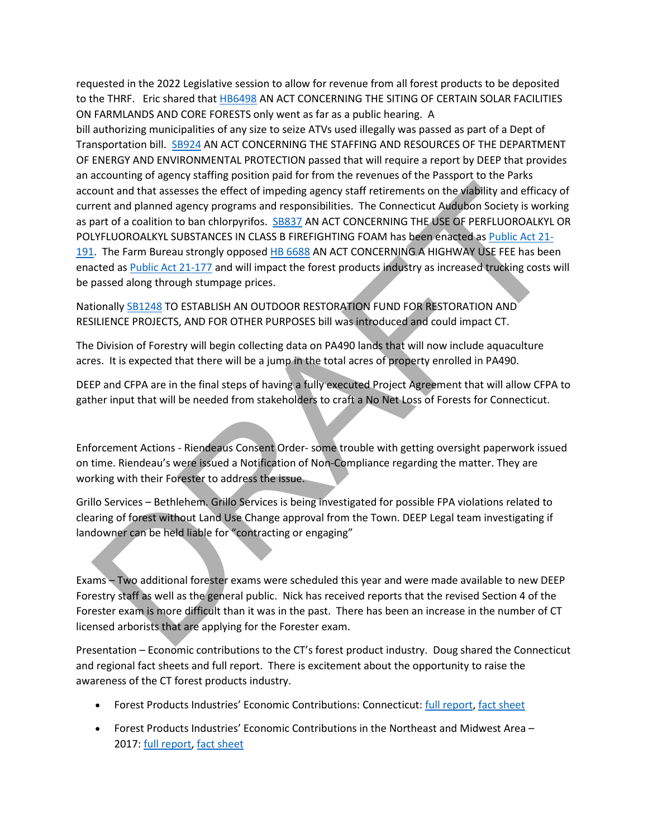requested in the 2022 Legislative session to allow for revenue from all forest products to be deposited to the THRF.  Eric shared that [HB6498](https://www.cga.ct.gov/searchresults.asp?cx=005177121039084408563%3Ahs1zq3ague8&ie=UTF-8&cof=FORID%3A10&q=6498&submission=%EF%80%82) AN ACT CONCERNING THE SITING OF CERTAIN SOLAR FACILITIES ON FARMLANDS AND CORE FORESTS only went as far as a public hearing. A bill authorizing municipalities of any size to seize ATVs used illegally was passed as part of a Dept of Transportation bill. [SB924](https://www.cga.ct.gov/asp/cgabillstatus/cgabillstatus.asp?selBillType=Bill&which_year=2021&bill_num=924) AN ACT CONCERNING THE STAFFING AND RESOURCES OF THE DEPARTMENT OF ENERGY AND ENVIRONMENTAL PROTECTION passed that will require a report by DEEP that provides an accounting of agency staffing position paid for from the revenues of the Passport to the Parks account and that assesses the effect of impeding agency staff retirements on the viability and efficacy of current and planned agency programs and responsibilities. The Connecticut Audubon Society is working as part of a coalition to ban chlorpyrifos. SB837 AN ACT CONCERNING THE USE OF PERFLUOROALKYL OR POLYFLUOROALKYL SUBSTANCES IN CLASS B FIREFIGHTING FOAM has been enacted as Public Act 21- [191.](https://www.cga.ct.gov/2021/ACT/PA/PDF/2021PA-00191-R00SB-00837-PA.PDF) The Farm Bureau strongly opposed HB 6688 AN ACT CONCERNING A HIGHWAY USE FEE has been enacted as Public Act 21-177 and will impact the forest products industry as increased trucking costs will be passed along through stumpage prices. ount and that assesses the effect of impeding agency staff retirements on the viability and efficacy<br>rent and planed agency programs and responsibilities. [T](https://www.cga.ct.gov/2021/ACT/PA/PDF/2021PA-00191-R00SB-00837-PA.PDF)he Connecticut Andulpoon<br>Schot of a coalition to ban chorpyritos.

Nationally SB1248 TO ESTABLISH AN OUTDOOR RESTORATION FUND FOR RESTORATION AND RESILIENCE PROJECTS, AND FOR OTHER PURPOSES bill was introduced and could impact CT.

The Division of Forestry will begin collecting data on PA490 lands that will now include aquaculture acres. It is expected that there will be a jump in the total acres of property enrolled in PA490.

DEEP and CFPA are in the final steps of having a fully executed Project Agreement that will allow CFPA to gather input that will be needed from stakeholders to craft a No Net Loss of Forests for Connecticut.

Enforcement Actions - Riendeaus Consent Order- some trouble with getting oversight paperwork issued on time. Riendeau's were issued a Notification of Non-Compliance regarding the matter. They are working with their Forester to address the issue.

Grillo Services – Bethlehem. Grillo Services is being investigated for possible FPA violations related to clearing of forest without Land Use Change approval from the Town. DEEP Legal team investigating if landowner can be held liable for "contracting or engaging"

Exams – Two additional forester exams were scheduled this year and were made available to new DEEP Forestry staff as well as the general public. Nick has received reports that the revised Section 4 of the Forester exam is more difficult than it was in the past. There has been an increase in the number of CT licensed arborists that are applying for the Forester exam.

Presentation – Economic contributions to the CT's forest product industry. Doug shared the Connecticut and regional fact sheets and full report. There is excitement about the opportunity to raise the awareness of the CT forest products industry.

- Forest Products Industries' Economic Contributions: Connecticut: [full report,](http://www.northeasternforests.org/app/webroot/uploads/files/CT%20Forest%20Products%20Industry%20Report(1).pdf) [fact sheet](http://www.northeasternforests.org/app/webroot/uploads/files/Connecticut%20Fact%20Sheet.pdf)
- Forest Products Industries' Economic Contributions in the Northeast and Midwest Area 2017: [full report,](http://www.northeasternforests.org/app/webroot/uploads/files/Regional%20Forest%20Products%20Industry%20Report.pdf) [fact sheet](http://www.northeasternforests.org/app/webroot/uploads/files/Region%20Fact%20Sheet.pdf)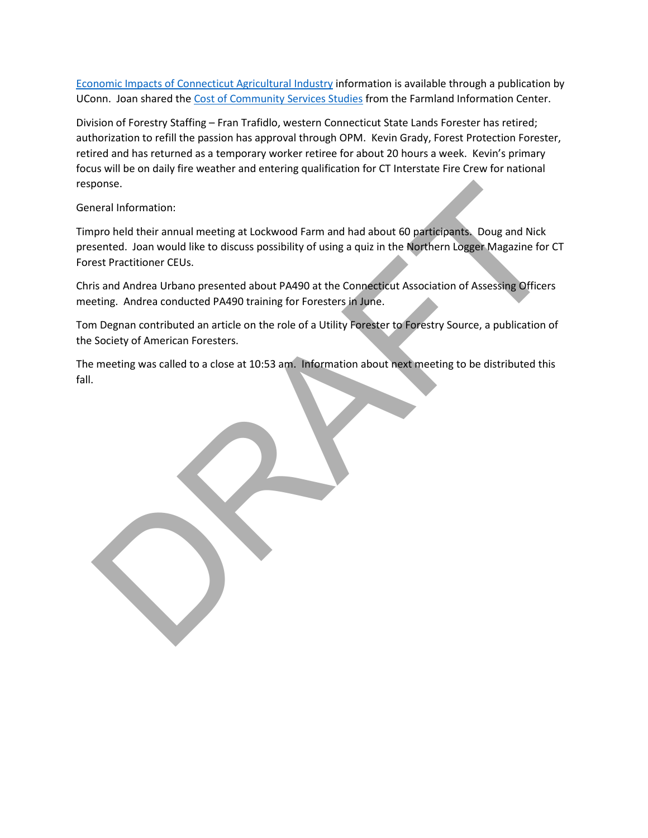[Economic Impacts of Connecticut Agricultural Industry](https://are.uconn.edu/wp-content/uploads/sites/2327/2020/03/CT-Agricultural-Industry-Economic-Impacts-2010.pdf) information is available through a publication by UConn. Joan shared the [Cost of Community Services Studies](https://farmlandinfo.org/publications/cost-of-community-services-studies/) from the Farmland Information Center.

Division of Forestry Staffing – Fran Trafidlo, western Connecticut State Lands Forester has retired; authorization to refill the passion has approval through OPM. Kevin Grady, Forest Protection Forester, retired and has returned as a temporary worker retiree for about 20 hours a week. Kevin's primary focus will be on daily fire weather and entering qualification for CT Interstate Fire Crew for national response.

General Information:

Timpro held their annual meeting at Lockwood Farm and had about 60 participants. Doug and Nick presented. Joan would like to discuss possibility of using a quiz in the Northern Logger Magazine for CT Forest Practitioner CEUs. ponse.<br>
Internation:<br>
International meeting at Lockwood Farm and had about 60 participants. Doug and Nick<br>
Issented. Joan would like to discuss possibility of using a quiz in the Northern Logger. Magazine for C<br>
Iss in ad

Chris and Andrea Urbano presented about PA490 at the Connecticut Association of Assessing Officers meeting. Andrea conducted PA490 training for Foresters in June.

Tom Degnan contributed an article on the role of a Utility Forester to Forestry Source, a publication of the Society of American Foresters.

The meeting was called to a close at 10:53 am. Information about next meeting to be distributed this fall.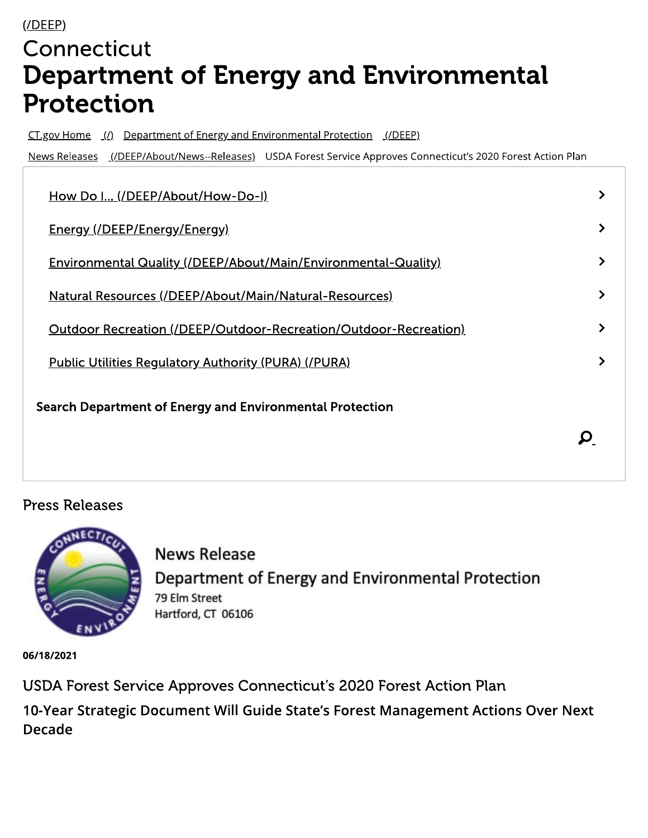## $($ /DEEP) Connecticut **Department of Energy and Environmental Protection**

CT.gov Home (1) Department of Energy and Environmental Protection (IDEEP)

News Releases (/DEEP/About/News--Releases) USDA Forest Service Approves Connecticut's 2020 Forest Action Plan

| How Do I (/DEEP/About/How-Do-I)                                  |  |
|------------------------------------------------------------------|--|
| <u>Energy (/DEEP/Energy/Energy)</u>                              |  |
| Environmental Quality (/DEEP/About/Main/Environmental-Quality)   |  |
| Natural Resources (/DEEP/About/Main/Natural-Resources)           |  |
| Outdoor Recreation (/DEEP/Outdoor-Recreation/Outdoor-Recreation) |  |
| <b>Public Utilities Regulatory Authority (PURA) (/PURA)</b>      |  |
| Search Department of Energy and Environmental Protection         |  |
|                                                                  |  |
|                                                                  |  |

## **Press Releases**



**News Release** Department of Energy and Environmental Protection 79 Elm Street Hartford, CT 06106

06/18/2021

USDA Forest Service Approves Connecticut's 2020 Forest Action Plan

10-Year Strategic Document Will Guide State's Forest Management Actions Over Next **Decade**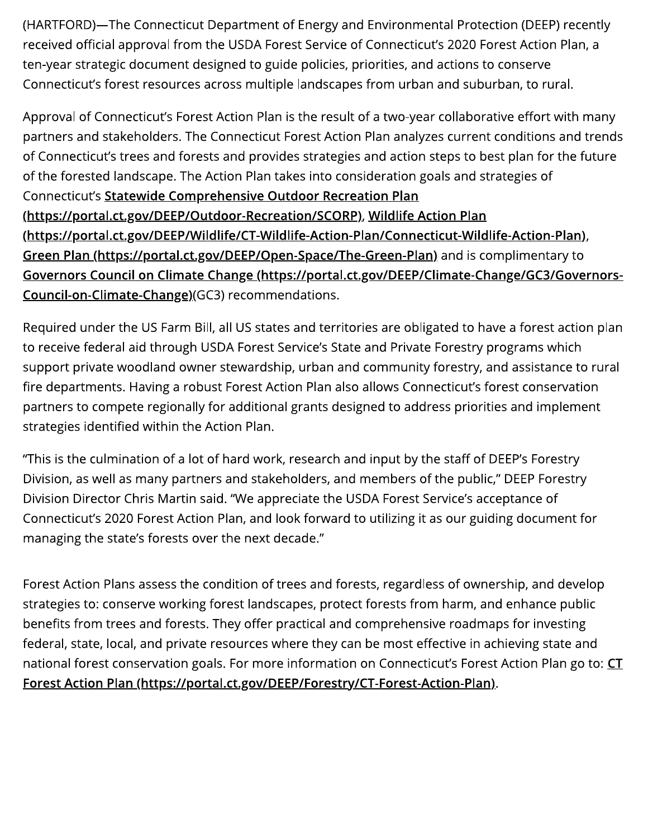(HARTFORD)—The Connecticut Department of Energy and Environmental Protection (DEEP) recently received official approval from the USDA Forest Service of Connecticut's 2020 Forest Action Plan, a ten-year strategic document designed to guide policies, priorities, and actions to conserve Connecticut's forest resources across multiple landscapes from urban and suburban, to rural.

Approval of Connecticut's Forest Action Plan is the result of a two-year collaborative effort with many partners and stakeholders. The Connecticut Forest Action Plan analyzes current conditions and trends of Connecticut's trees and forests and provides strategies and action steps to best plan for the future of the forested landscape. The Action Plan takes into consideration goals and strategies of Connecticut's Statewide Comprehensive Outdoor Recreation Plan (https://portal.ct.gov/DEEP/Outdoor-Recreation/SCORP), Wildlife Action Plan (https://portal.ct.gov/DEEP/Wildlife/CT-Wildlife-Action-Plan/Connecticut-Wildlife-Action-Plan), Green Plan (https://portal.ct.gov/DEEP/Open-Space/The-Green-Plan) and is complimentary to Governors Council on Climate Change (https://portal.ct.gov/DEEP/Climate-Change/GC3/Governors-Council-on-Climate-Change)(GC3) recommendations.

Required under the US Farm Bill, all US states and territories are obligated to have a forest action plan to receive federal aid through USDA Forest Service's State and Private Forestry programs which support private woodland owner stewardship, urban and community forestry, and assistance to rural fire departments. Having a robust Forest Action Plan also allows Connecticut's forest conservation partners to compete regionally for additional grants designed to address priorities and implement strategies identified within the Action Plan.

"This is the culmination of a lot of hard work, research and input by the staff of DEEP's Forestry Division, as well as many partners and stakeholders, and members of the public," DEEP Forestry Division Director Chris Martin said. "We appreciate the USDA Forest Service's acceptance of Connecticut's 2020 Forest Action Plan, and look forward to utilizing it as our guiding document for managing the state's forests over the next decade."

Forest Action Plans assess the condition of trees and forests, regardless of ownership, and develop strategies to: conserve working forest landscapes, protect forests from harm, and enhance public benefits from trees and forests. They offer practical and comprehensive roadmaps for investing federal, state, local, and private resources where they can be most effective in achieving state and national forest conservation goals. For more information on Connecticut's Forest Action Plan go to: CT Forest Action Plan (https://portal.ct.gov/DEEP/Forestry/CT-Forest-Action-Plan).